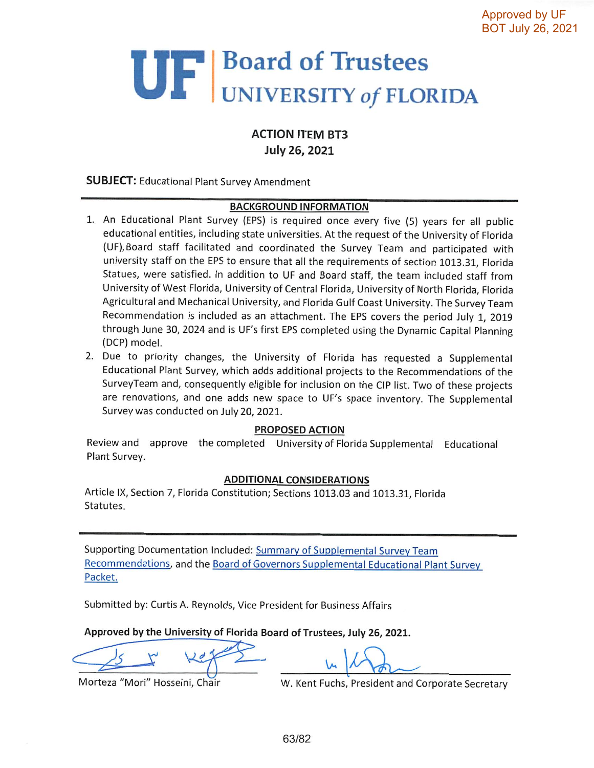# UF Board of Trustees

## **ACTION ITEM BT3 July 26, 2021**

#### **SUBJECT: Educational Plant Survey Amendment**

#### **BACKGROUND INFORMATION**

- 1. An Educational Plant Survey (EPS) is required once every five (5) years for all public educational entities, including state universities. At the request of the University of Florida (UF), Board staff facilitated and coordinated the Survey Team and participated with university staff on the EPS to ensure that all the requirements of section 1013.31, Florida Statues, were satisfied. In addition to UF and Board staff, the team included staff from University of West Florida, University of Central Florida, University of North Florida, Florida Agricultural and Mechanical University, and Florida Gulf Coast University. The Survey Team Recommendation is included as an attachment. The EPS covers the period July 1, 2019 through June 30, 2024 and is UF's first EPS completed using the Dynamic Capital Planning (DCP) model.
- 2. Due to priority changes, the University of Florida has requested a Supplemental Educational Plant Survey, which adds additional projects to the Recommendations of the SurveyTeam and, consequently eligible for inclusion on the CIP list. Two of these projects are renovations, and one adds new space to UF's space inventory. The Supplemental Survey was conducted on July 20, 2021.

#### **PROPOSED ACTION**

Review and approve the completed University of Florida Supplemental Educational Plant Survey.

#### **ADDITIONAL CONSIDERATIONS**

Article IX, Section 7, Florida Constitution; Sections 1013.03 and 1013.31, Florida Statutes.

Supporting Documentation Included: Summary of Supplemental Survey Team Recommendations, and the Board of Governors Supplemental Educational Plant Survey Packet.

Submitted by: Curtis A. Reynolds, Vice President for Business Affairs

Approved by the University of Florida Board of Trustees, July 26, 2021.

Morteza "Mori" Hosseini, Chair

W. Kent Fuchs, President and Corporate Secretary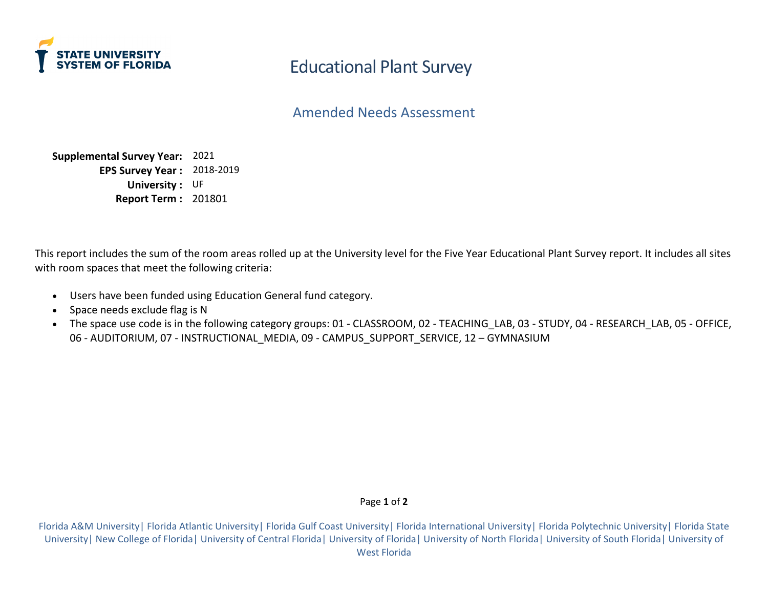

Amended Needs Assessment

**Supplemental Survey Year:** 2021 **EPS Survey Year :** 2018-2019 **University :** UF **Report Term :** 201801

This report includes the sum of the room areas rolled up at the University level for the Five Year Educational Plant Survey report. It includes all sites with room spaces that meet the following criteria:

- Users have been funded using Education General fund category.
- Space needs exclude flag is N
- The space use code is in the following category groups: 01 CLASSROOM, 02 TEACHING LAB, 03 STUDY, 04 RESEARCH LAB, 05 OFFICE, 06 - AUDITORIUM, 07 - INSTRUCTIONAL\_MEDIA, 09 - CAMPUS\_SUPPORT\_SERVICE, 12 - GYMNASIUM

#### Page **1** of **2**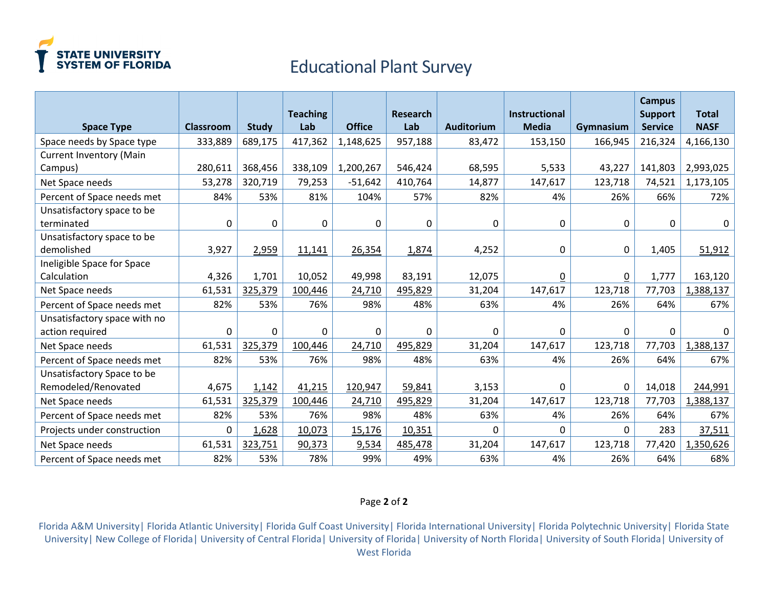

|                                |                  |              | <b>Teaching</b> |               | <b>Research</b> |                   | <b>Instructional</b> |              | <b>Campus</b><br><b>Support</b> | <b>Total</b> |
|--------------------------------|------------------|--------------|-----------------|---------------|-----------------|-------------------|----------------------|--------------|---------------------------------|--------------|
| <b>Space Type</b>              | <b>Classroom</b> | <b>Study</b> | Lab             | <b>Office</b> | Lab             | <b>Auditorium</b> | <b>Media</b>         | Gymnasium    | <b>Service</b>                  | <b>NASF</b>  |
| Space needs by Space type      | 333,889          | 689,175      | 417,362         | 1,148,625     | 957,188         | 83,472            | 153,150              | 166,945      | 216,324                         | 4,166,130    |
| <b>Current Inventory (Main</b> |                  |              |                 |               |                 |                   |                      |              |                                 |              |
| Campus)                        | 280,611          | 368,456      | 338,109         | 1,200,267     | 546,424         | 68,595            | 5,533                | 43,227       | 141,803                         | 2,993,025    |
| Net Space needs                | 53,278           | 320,719      | 79,253          | $-51,642$     | 410,764         | 14,877            | 147,617              | 123,718      | 74,521                          | 1,173,105    |
| Percent of Space needs met     | 84%              | 53%          | 81%             | 104%          | 57%             | 82%               | 4%                   | 26%          | 66%                             | 72%          |
| Unsatisfactory space to be     |                  |              |                 |               |                 |                   |                      |              |                                 |              |
| terminated                     | 0                | 0            | 0               | 0             | 0               | $\mathbf 0$       | 0                    | $\mathbf{0}$ | 0                               | 0            |
| Unsatisfactory space to be     |                  |              |                 |               |                 |                   |                      |              |                                 |              |
| demolished                     | 3,927            | 2,959        | 11,141          | 26,354        | 1,874           | 4,252             | 0                    | 0            | 1,405                           | 51,912       |
| Ineligible Space for Space     |                  |              |                 |               |                 |                   |                      |              |                                 |              |
| Calculation                    | 4,326            | 1,701        | 10,052          | 49,998        | 83,191          | 12,075            | $\underline{0}$      | 0            | 1,777                           | 163,120      |
| Net Space needs                | 61,531           | 325,379      | 100,446         | 24,710        | 495,829         | 31,204            | 147,617              | 123,718      | 77,703                          | 1,388,137    |
| Percent of Space needs met     | 82%              | 53%          | 76%             | 98%           | 48%             | 63%               | 4%                   | 26%          | 64%                             | 67%          |
| Unsatisfactory space with no   |                  |              |                 |               |                 |                   |                      |              |                                 |              |
| action required                | $\mathbf 0$      | 0            | $\mathbf 0$     | 0             | 0               | $\mathbf 0$       | $\mathbf 0$          | $\Omega$     | 0                               | $\mathbf{0}$ |
| Net Space needs                | 61,531           | 325,379      | 100,446         | 24,710        | 495,829         | 31,204            | 147,617              | 123,718      | 77,703                          | 1,388,137    |
| Percent of Space needs met     | 82%              | 53%          | 76%             | 98%           | 48%             | 63%               | 4%                   | 26%          | 64%                             | 67%          |
| Unsatisfactory Space to be     |                  |              |                 |               |                 |                   |                      |              |                                 |              |
| Remodeled/Renovated            | 4,675            | 1,142        | 41,215          | 120,947       | 59,841          | 3,153             | $\Omega$             | $\mathbf 0$  | 14,018                          | 244,991      |
| Net Space needs                | 61,531           | 325,379      | 100,446         | 24,710        | 495,829         | 31,204            | 147,617              | 123,718      | 77,703                          | 1,388,137    |
| Percent of Space needs met     | 82%              | 53%          | 76%             | 98%           | 48%             | 63%               | 4%                   | 26%          | 64%                             | 67%          |
| Projects under construction    | $\Omega$         | 1,628        | 10,073          | 15,176        | 10,351          | $\Omega$          | $\Omega$             | $\Omega$     | 283                             | 37,511       |
| Net Space needs                | 61,531           | 323,751      | 90,373          | 9,534         | 485,478         | 31,204            | 147,617              | 123,718      | 77,420                          | 1,350,626    |
| Percent of Space needs met     | 82%              | 53%          | 78%             | 99%           | 49%             | 63%               | 4%                   | 26%          | 64%                             | 68%          |

#### Page **2** of **2**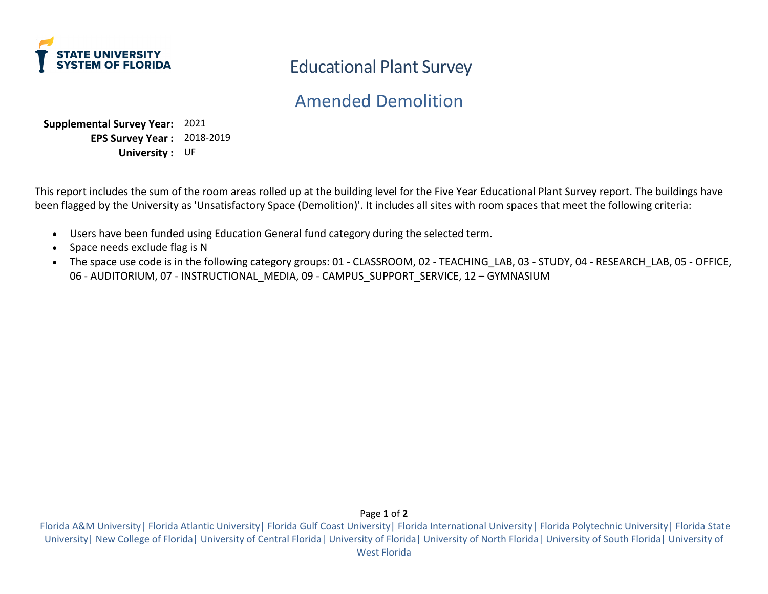

# Amended Demolition

**Supplemental Survey Year:** 2021 **EPS Survey Year :** 2018-2019 **University :** UF

This report includes the sum of the room areas rolled up at the building level for the Five Year Educational Plant Survey report. The buildings have been flagged by the University as 'Unsatisfactory Space (Demolition)'. It includes all sites with room spaces that meet the following criteria:

- Users have been funded using Education General fund category during the selected term.
- Space needs exclude flag is N
- The space use code is in the following category groups: 01 CLASSROOM, 02 TEACHING LAB, 03 STUDY, 04 RESEARCH LAB, 05 OFFICE, 06 - AUDITORIUM, 07 - INSTRUCTIONAL MEDIA, 09 - CAMPUS SUPPORT SERVICE, 12 – GYMNASIUM

Page **1** of **2**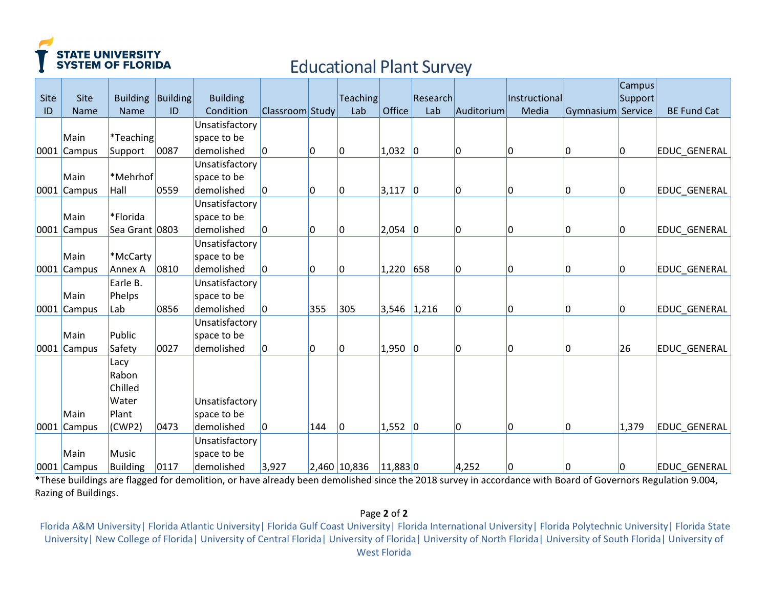

| Site | Site        | <b>Building</b> | Building | <b>Building</b> |                 |     | <b>Teaching</b> |               | Research    |            | Instructional |                   | <b>Campus</b><br>Support |                     |
|------|-------------|-----------------|----------|-----------------|-----------------|-----|-----------------|---------------|-------------|------------|---------------|-------------------|--------------------------|---------------------|
| ID   | <b>Name</b> | <b>Name</b>     | ID       | Condition       | Classroom Study |     | Lab             | Office        | Lab         | Auditorium | Media         | Gymnasium Service |                          | <b>BE Fund Cat</b>  |
|      |             |                 |          | Unsatisfactory  |                 |     |                 |               |             |            |               |                   |                          |                     |
|      | Main        | *Teaching       |          | space to be     |                 |     |                 |               |             |            |               |                   |                          |                     |
|      | 0001 Campus | Support         | 0087     | demolished      | $\overline{0}$  | 10  | 0               | 1,032         | $ 0\rangle$ | 0          | 0             | $\overline{0}$    | 10                       | <b>EDUC GENERAL</b> |
|      |             |                 |          | Unsatisfactory  |                 |     |                 |               |             |            |               |                   |                          |                     |
|      | Main        | *Mehrhof        |          | space to be     |                 |     |                 |               |             |            |               |                   |                          |                     |
|      | 0001 Campus | Hall            | 0559     | demolished      | 0               | 10  | 0               | 3,117         | $ 0\rangle$ | 0          | 0             | $\overline{0}$    | 10                       | <b>EDUC GENERAL</b> |
|      |             |                 |          | Unsatisfactory  |                 |     |                 |               |             |            |               |                   |                          |                     |
|      | Main        | *Florida        |          | space to be     |                 |     |                 |               |             |            |               |                   |                          |                     |
|      | 0001 Campus | Sea Grant 0803  |          | demolished      | I٥              | l0  | 0               | 2,054         | $ 0\rangle$ | 0          | 0             | 10                | lo                       | <b>EDUC GENERAL</b> |
|      |             |                 |          | Unsatisfactory  |                 |     |                 |               |             |            |               |                   |                          |                     |
|      | Main        | *McCarty        |          | space to be     |                 |     |                 |               |             |            |               |                   |                          |                     |
|      | 0001 Campus | <b>Annex A</b>  | 0810     | demolished      | 0               | 10  | 0               | 1,220         | 658         | 0          | 0             | 10                | 10                       | EDUC_GENERAL        |
|      |             | Earle B.        |          | Unsatisfactory  |                 |     |                 |               |             |            |               |                   |                          |                     |
|      | Main        | Phelps          |          | space to be     |                 |     |                 |               |             |            |               |                   |                          |                     |
|      | 0001 Campus | Lab             | 0856     | demolished      | I٥              | 355 | 305             | $3,546$ 1,216 |             | 0          | 0             | $\overline{0}$    | 10                       | <b>EDUC GENERAL</b> |
|      |             |                 |          | Unsatisfactory  |                 |     |                 |               |             |            |               |                   |                          |                     |
|      | Main        | Public          |          | space to be     |                 |     |                 |               |             |            |               |                   |                          |                     |
|      | 0001 Campus | Safety          | 0027     | demolished      | 10              | 10  | 0               | $1,950$ 0     |             | 0          | 0             | 10                | 26                       | <b>EDUC GENERAL</b> |
|      |             | Lacy            |          |                 |                 |     |                 |               |             |            |               |                   |                          |                     |
|      |             | Rabon           |          |                 |                 |     |                 |               |             |            |               |                   |                          |                     |
|      |             | Chilled         |          |                 |                 |     |                 |               |             |            |               |                   |                          |                     |
|      |             | Water           |          | Unsatisfactory  |                 |     |                 |               |             |            |               |                   |                          |                     |
|      | Main        | Plant           |          | space to be     |                 |     |                 |               |             |            |               |                   |                          |                     |
|      | 0001 Campus | (CWP2)          | 0473     | demolished      | 0               | 144 | 0               | $1,552$ 0     |             | 0          | 0             | 10                | 1,379                    | <b>EDUC GENERAL</b> |
|      |             |                 |          | Unsatisfactory  |                 |     |                 |               |             |            |               |                   |                          |                     |
|      | Main        | Music           |          | space to be     |                 |     |                 |               |             |            |               |                   |                          |                     |
|      | 0001 Campus | Building        | 0117     | demolished      | 3,927           |     | 2,460 10,836    | $11,883$ 0    |             | 4,252      | 0             | 10                | 10                       | <b>EDUC GENERAL</b> |

\*These buildings are flagged for demolition, or have already been demolished since the 2018 survey in accordance with Board of Governors Regulation 9.004, Razing of Buildings.

## Page **2** of **2**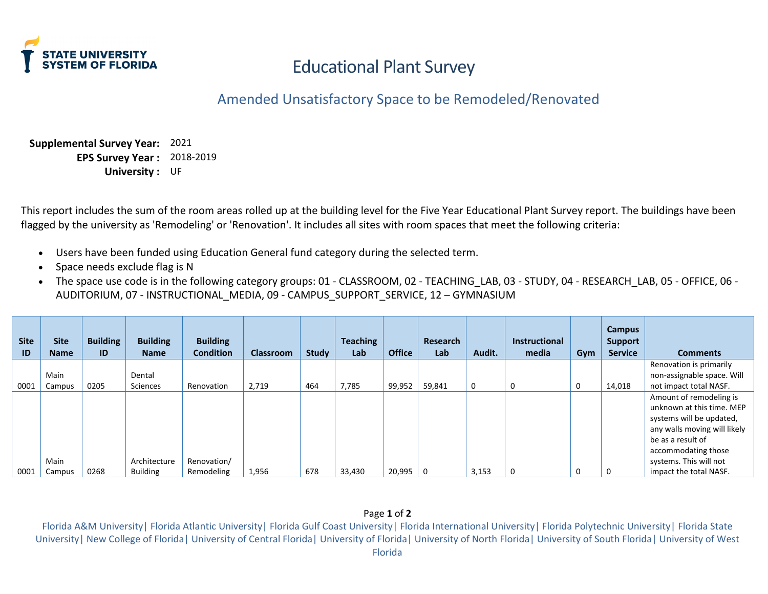

# Amended Unsatisfactory Space to be Remodeled/Renovated

**Supplemental Survey Year:** 2021 **EPS Survey Year :** 2018-2019 **University :** UF

This report includes the sum of the room areas rolled up at the building level for the Five Year Educational Plant Survey report. The buildings have been flagged by the university as 'Remodeling' or 'Renovation'. It includes all sites with room spaces that meet the following criteria:

- Users have been funded using Education General fund category during the selected term.
- Space needs exclude flag is N
- The space use code is in the following category groups: 01 CLASSROOM, 02 TEACHING\_LAB, 03 STUDY, 04 RESEARCH\_LAB, 05 OFFICE, 06 AUDITORIUM, 07 - INSTRUCTIONAL\_MEDIA, 09 - CAMPUS\_SUPPORT\_SERVICE, 12 – GYMNASIUM

| <b>Site</b><br>ID | <b>Site</b><br><b>Name</b> | <b>Building</b><br>ID | <b>Building</b><br><b>Name</b> | <b>Building</b><br><b>Condition</b> | <b>Classroom</b> | <b>Study</b> | <b>Teaching</b><br>Lab | <b>Office</b> | Research<br>Lab | Audit. | <b>Instructional</b><br>media | Gym | Campus<br><b>Support</b><br><b>Service</b> | <b>Comments</b>              |
|-------------------|----------------------------|-----------------------|--------------------------------|-------------------------------------|------------------|--------------|------------------------|---------------|-----------------|--------|-------------------------------|-----|--------------------------------------------|------------------------------|
|                   |                            |                       |                                |                                     |                  |              |                        |               |                 |        |                               |     |                                            | Renovation is primarily      |
|                   | Main                       |                       | Dental                         |                                     |                  |              |                        |               |                 |        |                               |     |                                            | non-assignable space. Will   |
| 0001              | Campus                     | 0205                  | Sciences                       | Renovation                          | 2,719            | 464          | 7,785                  | 99,952        | 59,841          | 0      | 0                             | 0   | 14,018                                     | not impact total NASF.       |
|                   |                            |                       |                                |                                     |                  |              |                        |               |                 |        |                               |     |                                            | Amount of remodeling is      |
|                   |                            |                       |                                |                                     |                  |              |                        |               |                 |        |                               |     |                                            | unknown at this time. MEP    |
|                   |                            |                       |                                |                                     |                  |              |                        |               |                 |        |                               |     |                                            | systems will be updated,     |
|                   |                            |                       |                                |                                     |                  |              |                        |               |                 |        |                               |     |                                            | any walls moving will likely |
|                   |                            |                       |                                |                                     |                  |              |                        |               |                 |        |                               |     |                                            | be as a result of            |
|                   |                            |                       |                                |                                     |                  |              |                        |               |                 |        |                               |     |                                            | accommodating those          |
|                   | Main                       |                       | Architecture                   | Renovation/                         |                  |              |                        |               |                 |        |                               |     |                                            | systems. This will not       |
| 0001              | Campus                     | 0268                  | <b>Building</b>                | Remodeling                          | 1,956            | 678          | 33,430                 | 20,995        | 0               | 3,153  | 0                             | 0   | 0                                          | impact the total NASF.       |

#### Page **1** of **2**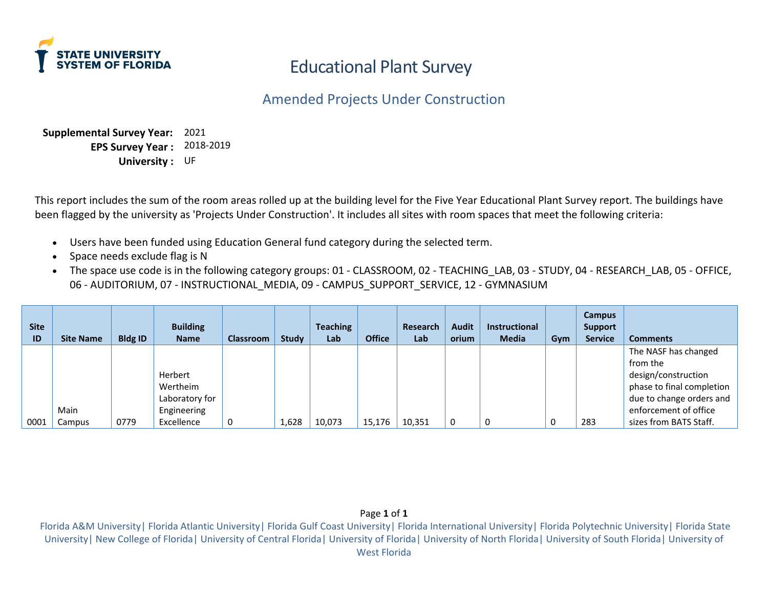

## Amended Projects Under Construction

**Supplemental Survey Year:** 2021 **EPS Survey Year :**  2018-2019 **University :** UF

This report includes the sum of the room areas rolled up at the building level for the Five Year Educational Plant Survey report. The buildings have been flagged by the university as 'Projects Under Construction'. It includes all sites with room spaces that meet the following criteria:

- Users have been funded using Education General fund category during the selected term.
- Space needs exclude flag is N
- The space use code is in the following category groups: 01 CLASSROOM, 02 TEACHING LAB, 03 STUDY, 04 RESEARCH LAB, 05 OFFICE, 06 - AUDITORIUM, 07 - INSTRUCTIONAL\_MEDIA, 09 - CAMPUS\_SUPPORT\_SERVICE, 12 - GYMNASIUM

| <b>Site</b><br>ID | <b>Site Name</b> | <b>Bldg ID</b> | <b>Building</b><br><b>Name</b> | <b>Classroom</b> | <b>Study</b> | <b>Teaching</b><br>Lab | <b>Office</b> | Research<br>Lab | <b>Audit</b><br>orium | <b>Instructional</b><br><b>Media</b> | Gym | <b>Campus</b><br><b>Support</b><br><b>Service</b> | <b>Comments</b>           |
|-------------------|------------------|----------------|--------------------------------|------------------|--------------|------------------------|---------------|-----------------|-----------------------|--------------------------------------|-----|---------------------------------------------------|---------------------------|
|                   |                  |                |                                |                  |              |                        |               |                 |                       |                                      |     |                                                   | The NASF has changed      |
|                   |                  |                |                                |                  |              |                        |               |                 |                       |                                      |     |                                                   | from the                  |
|                   |                  |                | Herbert                        |                  |              |                        |               |                 |                       |                                      |     |                                                   | design/construction       |
|                   |                  |                | Wertheim                       |                  |              |                        |               |                 |                       |                                      |     |                                                   | phase to final completion |
|                   |                  |                | Laboratory for                 |                  |              |                        |               |                 |                       |                                      |     |                                                   | due to change orders and  |
|                   | Main             |                | Engineering                    |                  |              |                        |               |                 |                       |                                      |     |                                                   | enforcement of office     |
| 0001              | Campus           | 0779           | Excellence                     | 0                | 1,628        | 10,073                 | 15,176        | 10,351          |                       | 0                                    |     | 283                                               | sizes from BATS Staff.    |

#### Page **1** of **1**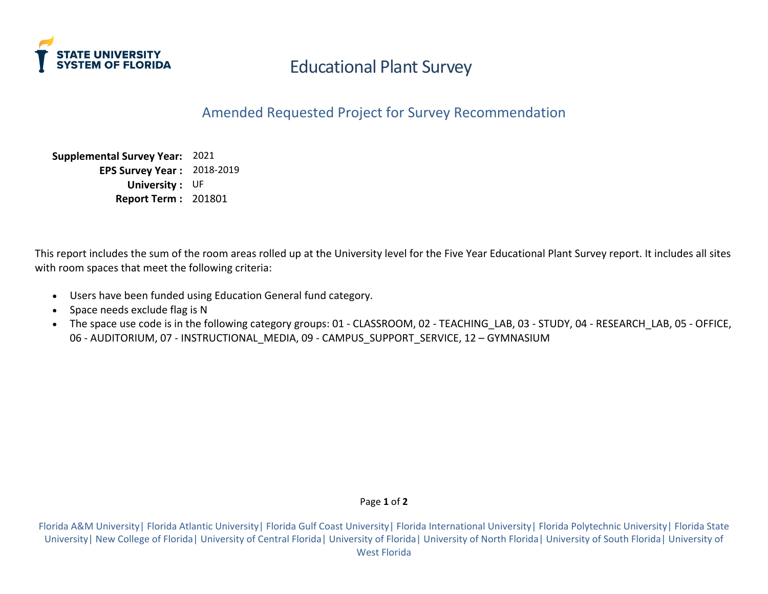

Amended Requested Project for Survey Recommendation

**Supplemental Survey Year:** 2021 **EPS Survey Year :** 2018-2019 **University :** UF **Report Term :** 201801

This report includes the sum of the room areas rolled up at the University level for the Five Year Educational Plant Survey report. It includes all sites with room spaces that meet the following criteria:

- Users have been funded using Education General fund category.
- Space needs exclude flag is N
- The space use code is in the following category groups: 01 CLASSROOM, 02 TEACHING LAB, 03 STUDY, 04 RESEARCH LAB, 05 OFFICE, 06 - AUDITORIUM, 07 - INSTRUCTIONAL\_MEDIA, 09 - CAMPUS\_SUPPORT\_SERVICE, 12 - GYMNASIUM

#### Page **1** of **2**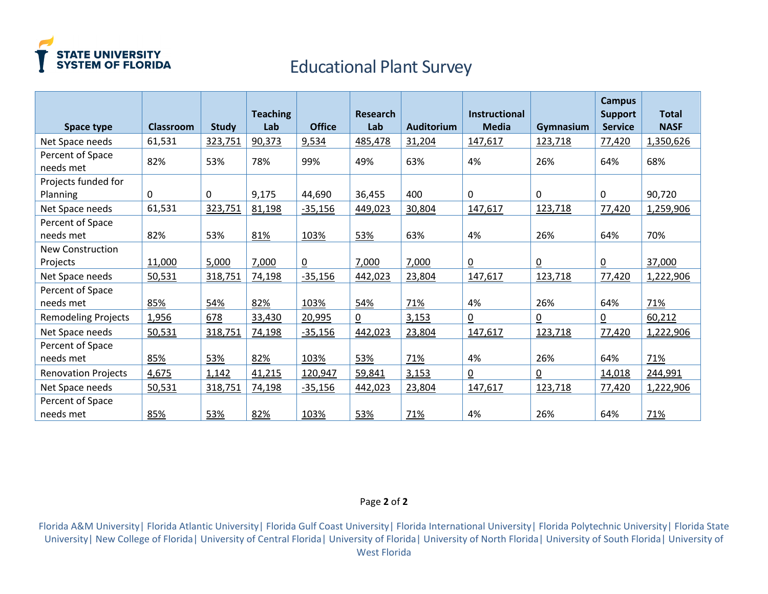

|                               |                  |              | <b>Teaching</b> |                | <b>Research</b> |                   | <b>Instructional</b> |                 | <b>Campus</b><br><b>Support</b> | <b>Total</b> |
|-------------------------------|------------------|--------------|-----------------|----------------|-----------------|-------------------|----------------------|-----------------|---------------------------------|--------------|
| Space type                    | <b>Classroom</b> | <b>Study</b> | Lab             | <b>Office</b>  | Lab             | <b>Auditorium</b> | <b>Media</b>         | Gymnasium       | <b>Service</b>                  | <b>NASF</b>  |
| Net Space needs               | 61,531           | 323,751      | 90,373          | 9,534          | 485,478         | 31,204            | 147,617              | 123,718         | 77,420                          | 1,350,626    |
| Percent of Space<br>needs met | 82%              | 53%          | 78%             | 99%            | 49%             | 63%               | 4%                   | 26%             | 64%                             | 68%          |
| Projects funded for           |                  |              |                 |                |                 |                   |                      |                 |                                 |              |
| Planning                      | $\mathbf{0}$     | $\Omega$     | 9,175           | 44,690         | 36,455          | 400               | 0                    | $\Omega$        | 0                               | 90,720       |
| Net Space needs               | 61,531           | 323,751      | 81,198          | $-35,156$      | 449,023         | 30,804            | 147,617              | 123,718         | 77,420                          | 1,259,906    |
| Percent of Space<br>needs met | 82%              | 53%          | 81%             | 103%           | 53%             | 63%               | 4%                   | 26%             | 64%                             | 70%          |
| <b>New Construction</b>       |                  |              |                 |                |                 |                   |                      |                 |                                 |              |
| Projects                      | 11,000           | 5,000        | 7,000           | $\overline{0}$ | 7,000           | 7,000             | $\underline{0}$      | $\underline{0}$ | $\underline{0}$                 | 37,000       |
| Net Space needs               | 50,531           | 318,751      | 74,198          | $-35,156$      | 442,023         | 23,804            | 147,617              | 123,718         | 77,420                          | 1,222,906    |
| Percent of Space<br>needs met | 85%              | 54%          | 82%             | 103%           | 54%             | 71%               | 4%                   | 26%             | 64%                             | 71%          |
| <b>Remodeling Projects</b>    | 1,956            | 678          | 33,430          | 20,995         | $\overline{0}$  | 3,153             | $\overline{0}$       | $\overline{0}$  | $\overline{0}$                  | 60,212       |
| Net Space needs               | 50,531           | 318,751      | 74,198          | $-35,156$      | 442,023         | 23,804            | 147,617              | 123,718         | 77,420                          | 1,222,906    |
| Percent of Space<br>needs met | 85%              | 53%          | 82%             | 103%           | 53%             | 71%               | 4%                   | 26%             | 64%                             | 71%          |
| <b>Renovation Projects</b>    | 4,675            | 1,142        | 41,215          | 120,947        | 59,841          | 3,153             | $\overline{0}$       | $\overline{0}$  | 14,018                          | 244,991      |
| Net Space needs               | 50,531           | 318,751      | 74,198          | $-35,156$      | 442,023         | 23,804            | 147,617              | 123,718         | 77,420                          | 1,222,906    |
| Percent of Space<br>needs met | 85%              | 53%          | 82%             | 103%           | 53%             | 71%               | 4%                   | 26%             | 64%                             | 71%          |

#### Page **2** of **2**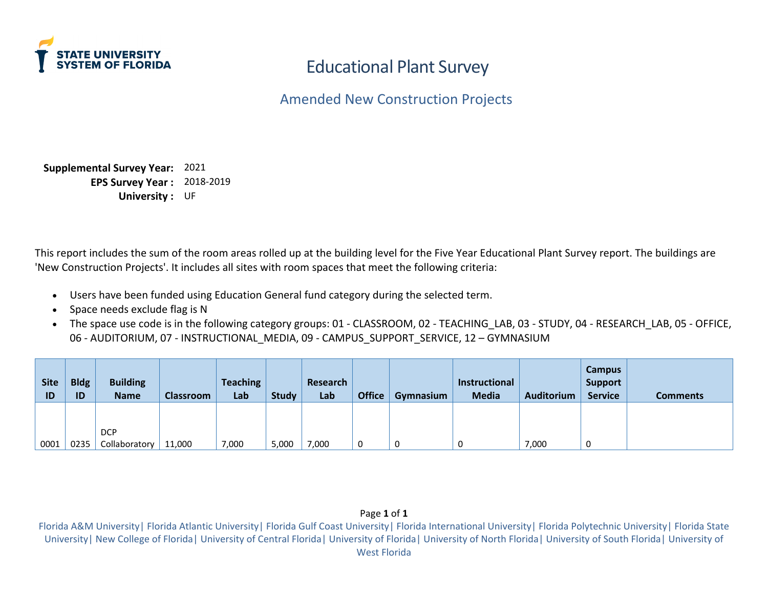

Amended New Construction Projects

**Supplemental Survey Year:** 2021 **EPS Survey Year :** 2018-2019 **University :** UF

This report includes the sum of the room areas rolled up at the building level for the Five Year Educational Plant Survey report. The buildings are 'New Construction Projects'. It includes all sites with room spaces that meet the following criteria:

- Users have been funded using Education General fund category during the selected term.
- Space needs exclude flag is N
- The space use code is in the following category groups: 01 CLASSROOM, 02 TEACHING LAB, 03 STUDY, 04 RESEARCH LAB, 05 OFFICE, 06 - AUDITORIUM, 07 - INSTRUCTIONAL MEDIA, 09 - CAMPUS SUPPORT SERVICE, 12 – GYMNASIUM

| <b>Site</b><br>ID | <b>Bldg</b><br><b>ID</b> | <b>Building</b><br><b>Name</b> | <b>Classroom</b> | <b>Teaching</b><br>Lab | Study | Research<br>Lab | <b>Office</b> | Gymnasium | Instructional<br><b>Media</b> | <b>Auditorium</b> | <b>Campus</b><br><b>Support</b><br><b>Service</b> | Comments |
|-------------------|--------------------------|--------------------------------|------------------|------------------------|-------|-----------------|---------------|-----------|-------------------------------|-------------------|---------------------------------------------------|----------|
|                   |                          | <b>DCP</b>                     |                  |                        |       |                 |               |           |                               |                   |                                                   |          |
| 0001              | 0235                     | Collaboratory                  | 11,000           | 7,000                  | 5,000 | 7,000           | 0             |           |                               | 7,000             |                                                   |          |

#### Page **1** of **1**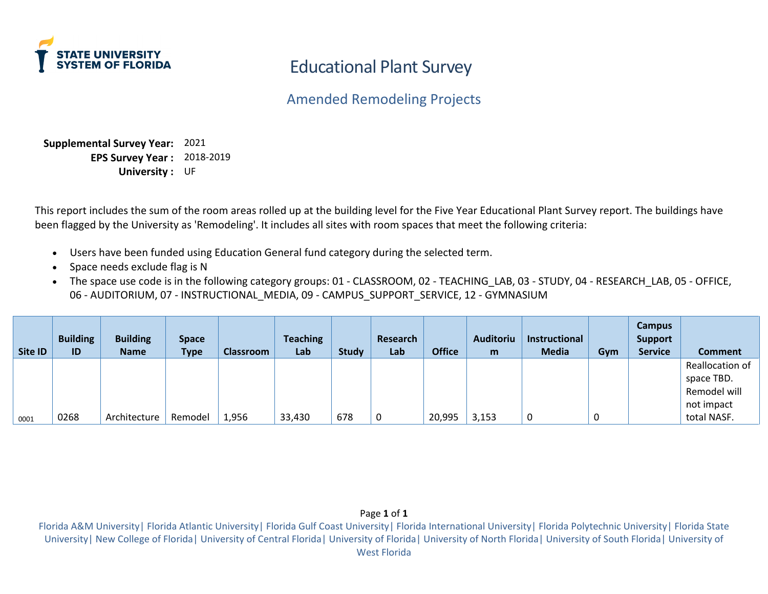

Amended Remodeling Projects

**Supplemental Survey Year:** 2021 **EPS Survey Year :** 2018-2019 **University :** UF

This report includes the sum of the room areas rolled up at the building level for the Five Year Educational Plant Survey report. The buildings have been flagged by the University as 'Remodeling'. It includes all sites with room spaces that meet the following criteria:

- Users have been funded using Education General fund category during the selected term.
- Space needs exclude flag is N
- The space use code is in the following category groups: 01 CLASSROOM, 02 TEACHING\_LAB, 03 STUDY, 04 RESEARCH\_LAB, 05 OFFICE, 06 - AUDITORIUM, 07 - INSTRUCTIONAL MEDIA, 09 - CAMPUS SUPPORT SERVICE, 12 - GYMNASIUM

| Site ID | <b>Building</b><br>ID | <b>Building</b><br><b>Name</b> | <b>Space</b><br><b>Type</b> | <b>Classroom</b> | <b>Teaching</b><br>Lab | <b>Study</b> | Research<br>Lab | <b>Office</b> | Auditoriu<br>m | <b>Instructional</b><br><b>Media</b> | Gym | <b>Campus</b><br><b>Support</b><br><b>Service</b> | <b>Comment</b>  |
|---------|-----------------------|--------------------------------|-----------------------------|------------------|------------------------|--------------|-----------------|---------------|----------------|--------------------------------------|-----|---------------------------------------------------|-----------------|
|         |                       |                                |                             |                  |                        |              |                 |               |                |                                      |     |                                                   | Reallocation of |
|         |                       |                                |                             |                  |                        |              |                 |               |                |                                      |     |                                                   | space TBD.      |
|         |                       |                                |                             |                  |                        |              |                 |               |                |                                      |     |                                                   | Remodel will    |
|         |                       |                                |                             |                  |                        |              |                 |               |                |                                      |     |                                                   | not impact      |
| 0001    | 0268                  | Architecture                   | Remodel                     | 1,956            | 33,430                 | 678          |                 | 20,995        | 3,153          | 0                                    | 0   |                                                   | total NASF.     |

## Page **1** of **1**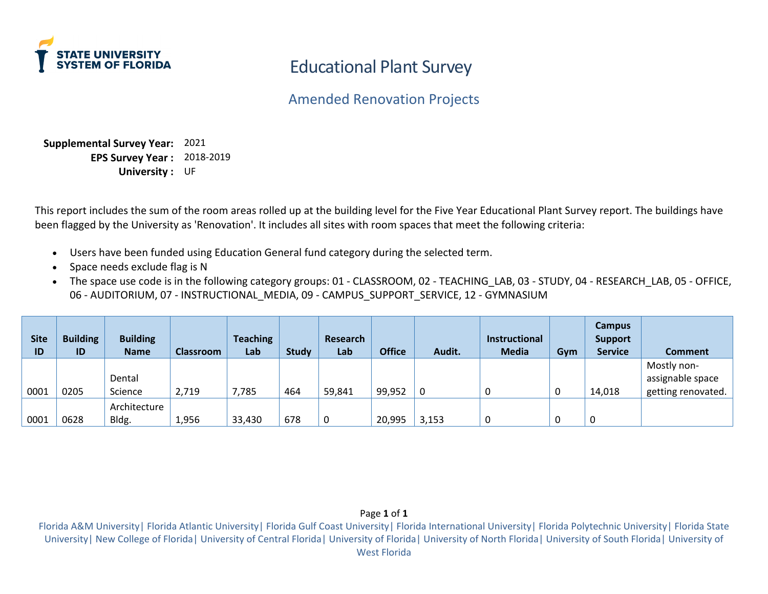

Amended Renovation Projects

**Supplemental Survey Year:** 2021 **EPS Survey Year :** 2018-2019 **University :** UF

This report includes the sum of the room areas rolled up at the building level for the Five Year Educational Plant Survey report. The buildings have been flagged by the University as 'Renovation'. It includes all sites with room spaces that meet the following criteria:

- Users have been funded using Education General fund category during the selected term.
- Space needs exclude flag is N
- The space use code is in the following category groups: 01 CLASSROOM, 02 TEACHING\_LAB, 03 STUDY, 04 RESEARCH\_LAB, 05 OFFICE, 06 - AUDITORIUM, 07 - INSTRUCTIONAL MEDIA, 09 - CAMPUS SUPPORT SERVICE, 12 - GYMNASIUM

| <b>Site</b><br>ID | <b>Building</b><br>ID | <b>Building</b><br><b>Name</b> | <b>Classroom</b> | <b>Teaching</b><br>Lab | <b>Study</b> | <b>Research</b><br>Lab | <b>Office</b> | Audit. | <b>Instructional</b><br><b>Media</b> | Gym | <b>Campus</b><br><b>Support</b><br><b>Service</b> | <b>Comment</b>     |
|-------------------|-----------------------|--------------------------------|------------------|------------------------|--------------|------------------------|---------------|--------|--------------------------------------|-----|---------------------------------------------------|--------------------|
|                   |                       |                                |                  |                        |              |                        |               |        |                                      |     |                                                   | Mostly non-        |
|                   |                       | Dental                         |                  |                        |              |                        |               |        |                                      |     |                                                   | assignable space   |
| 0001              | 0205                  | Science                        | 2,719            | 7,785                  | 464          | 59,841                 | 99,952        | 0      | 0                                    | U   | 14,018                                            | getting renovated. |
|                   |                       | Architecture                   |                  |                        |              |                        |               |        |                                      |     |                                                   |                    |
| 0001              | 0628                  | Bldg.                          | 1,956            | 33,430                 | 678          | 0                      | 20,995        | 3,153  | 0                                    |     | 0                                                 |                    |

#### Page **1** of **1**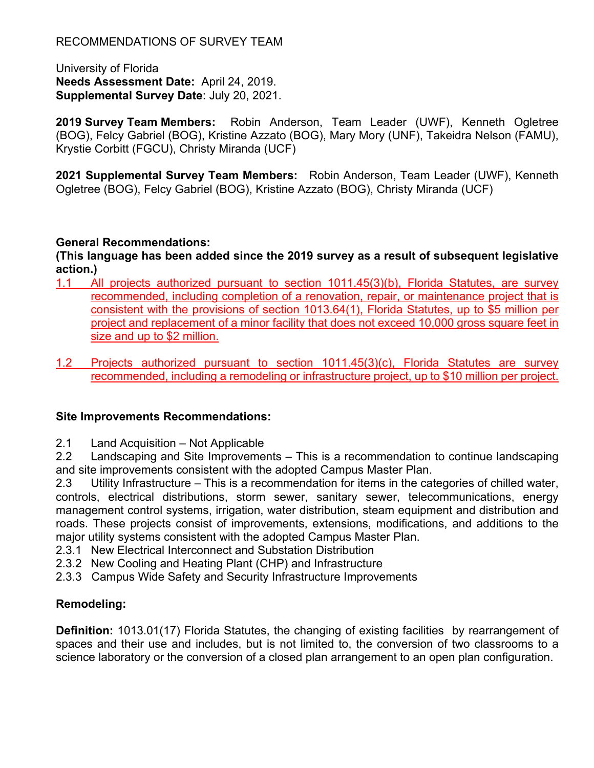University of Florida **Needs Assessment Date:** April 24, 2019. **Supplemental Survey Date**: July 20, 2021.

**2019 Survey Team Members:** Robin Anderson, Team Leader (UWF), Kenneth Ogletree (BOG), Felcy Gabriel (BOG), Kristine Azzato (BOG), Mary Mory (UNF), Takeidra Nelson (FAMU), Krystie Corbitt (FGCU), Christy Miranda (UCF)

**2021 Supplemental Survey Team Members:** Robin Anderson, Team Leader (UWF), Kenneth Ogletree (BOG), Felcy Gabriel (BOG), Kristine Azzato (BOG), Christy Miranda (UCF)

## **General Recommendations:**

**(This language has been added since the 2019 survey as a result of subsequent legislative action.)**

- 1.1 All projects authorized pursuant to section 1011.45(3)(b), Florida Statutes, are survey recommended, including completion of a renovation, repair, or maintenance project that is consistent with the provisions of section 1013.64(1), Florida Statutes, up to \$5 million per project and replacement of a minor facility that does not exceed 10,000 gross square feet in size and up to \$2 million.
- 1.2 Projects authorized pursuant to section 1011.45(3)(c), Florida Statutes are survey recommended, including a remodeling or infrastructure project, up to \$10 million per project.

## **Site Improvements Recommendations:**

2.1 Land Acquisition – Not Applicable

2.2 Landscaping and Site Improvements – This is a recommendation to continue landscaping and site improvements consistent with the adopted Campus Master Plan.

2.3 Utility Infrastructure – This is a recommendation for items in the categories of chilled water, controls, electrical distributions, storm sewer, sanitary sewer, telecommunications, energy management control systems, irrigation, water distribution, steam equipment and distribution and roads. These projects consist of improvements, extensions, modifications, and additions to the major utility systems consistent with the adopted Campus Master Plan.

- 2.3.1 New Electrical Interconnect and Substation Distribution
- 2.3.2 New Cooling and Heating Plant (CHP) and Infrastructure
- 2.3.3 Campus Wide Safety and Security Infrastructure Improvements

## **Remodeling:**

**Definition:** 1013.01(17) Florida Statutes, the changing of existing facilities by rearrangement of spaces and their use and includes, but is not limited to, the conversion of two classrooms to a science laboratory or the conversion of a closed plan arrangement to an open plan configuration.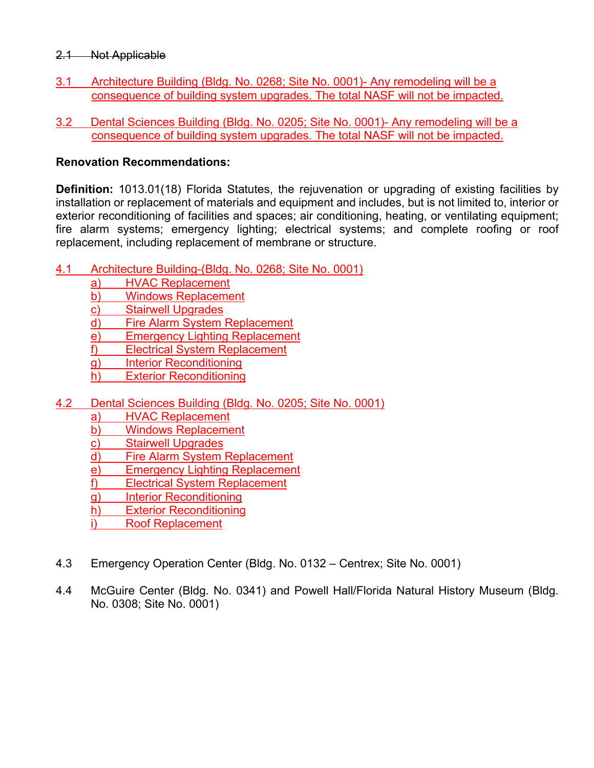## 2.1 Not Applicable

- 3.1 Architecture Building (Bldg. No. 0268; Site No. 0001)- Any remodeling will be a consequence of building system upgrades. The total NASF will not be impacted.
- 3.2 Dental Sciences Building (Bldg. No. 0205; Site No. 0001)- Any remodeling will be a consequence of building system upgrades. The total NASF will not be impacted.

## **Renovation Recommendations:**

**Definition:** 1013.01(18) Florida Statutes, the rejuvenation or upgrading of existing facilities by installation or replacement of materials and equipment and includes, but is not limited to, interior or exterior reconditioning of facilities and spaces; air conditioning, heating, or ventilating equipment; fire alarm systems; emergency lighting; electrical systems; and complete roofing or roof replacement, including replacement of membrane or structure.

## 4.1 Architecture Building-(Bldg. No. 0268; Site No. 0001)

- a) HVAC Replacement
- b) Windows Replacement
- c) Stairwell Upgrades
- d) Fire Alarm System Replacement
- e) Emergency Lighting Replacement
- f) Electrical System Replacement
- g) Interior Reconditioning
- h) Exterior Reconditioning
- 4.2 Dental Sciences Building (Bldg. No. 0205; Site No. 0001)
	- a) HVAC Replacement
	- b) Windows Replacement
	- c) Stairwell Upgrades
	- d) Fire Alarm System Replacement
	- e) Emergency Lighting Replacement
	- f) Electrical System Replacement
	- g) Interior Reconditioning
	- h) Exterior Reconditioning
	- i) Roof Replacement
- 4.3 Emergency Operation Center (Bldg. No. 0132 Centrex; Site No. 0001)
- 4.4 McGuire Center (Bldg. No. 0341) and Powell Hall/Florida Natural History Museum (Bldg. No. 0308; Site No. 0001)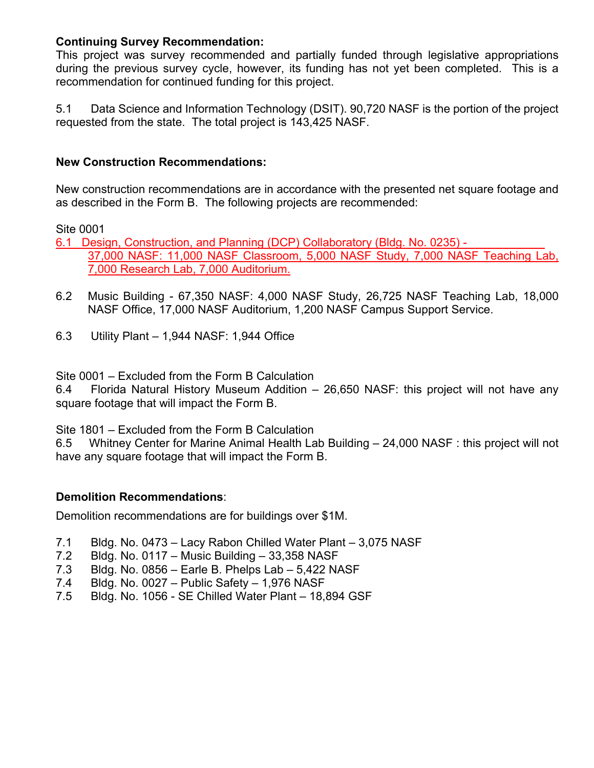## **Continuing Survey Recommendation:**

This project was survey recommended and partially funded through legislative appropriations during the previous survey cycle, however, its funding has not yet been completed. This is a recommendation for continued funding for this project.

5.1 Data Science and Information Technology (DSIT). 90,720 NASF is the portion of the project requested from the state. The total project is 143,425 NASF.

## **New Construction Recommendations:**

New construction recommendations are in accordance with the presented net square footage and as described in the Form B. The following projects are recommended:

Site 0001

6.1 Design, Construction, and Planning (DCP) Collaboratory (Bldg. No. 0235) - 37,000 NASF: 11,000 NASF Classroom, 5,000 NASF Study, 7,000 NASF Teaching Lab, 7,000 Research Lab, 7,000 Auditorium.

- 6.2 Music Building 67,350 NASF: 4,000 NASF Study, 26,725 NASF Teaching Lab, 18,000 NASF Office, 17,000 NASF Auditorium, 1,200 NASF Campus Support Service.
- 6.3 Utility Plant 1,944 NASF: 1,944 Office

Site 0001 – Excluded from the Form B Calculation

6.4 Florida Natural History Museum Addition – 26,650 NASF: this project will not have any square footage that will impact the Form B.

Site 1801 – Excluded from the Form B Calculation

6.5 Whitney Center for Marine Animal Health Lab Building – 24,000 NASF : this project will not have any square footage that will impact the Form B.

## **Demolition Recommendations**:

Demolition recommendations are for buildings over \$1M.

- 7.1 Bldg. No. 0473 Lacy Rabon Chilled Water Plant 3,075 NASF
- 7.2 Bldg. No. 0117 Music Building 33,358 NASF
- 7.3 Bldg. No. 0856 Earle B. Phelps Lab 5,422 NASF
- 7.4 Bldg. No. 0027 Public Safety 1,976 NASF
- 7.5 Bldg. No. 1056 SE Chilled Water Plant 18,894 GSF